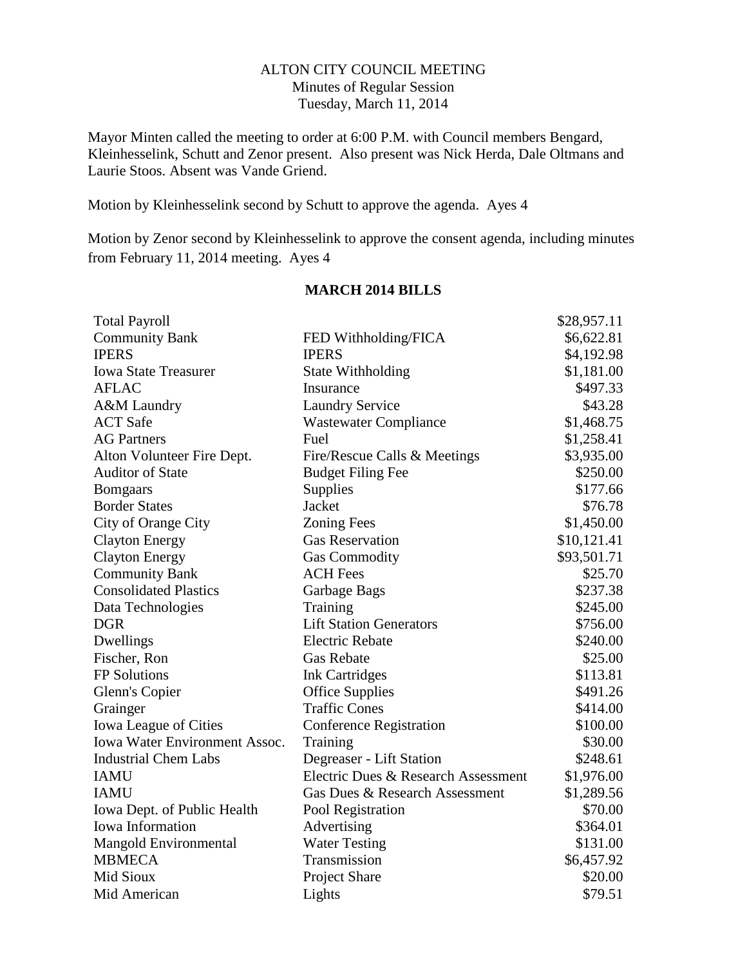## ALTON CITY COUNCIL MEETING Minutes of Regular Session Tuesday, March 11, 2014

Mayor Minten called the meeting to order at 6:00 P.M. with Council members Bengard, Kleinhesselink, Schutt and Zenor present. Also present was Nick Herda, Dale Oltmans and Laurie Stoos. Absent was Vande Griend.

Motion by Kleinhesselink second by Schutt to approve the agenda. Ayes 4

Motion by Zenor second by Kleinhesselink to approve the consent agenda, including minutes from February 11, 2014 meeting. Ayes 4

| <b>Total Payroll</b>                 |                                     | \$28,957.11 |
|--------------------------------------|-------------------------------------|-------------|
| <b>Community Bank</b>                | FED Withholding/FICA                | \$6,622.81  |
| <b>IPERS</b>                         | <b>IPERS</b>                        | \$4,192.98  |
| <b>Iowa State Treasurer</b>          | <b>State Withholding</b>            | \$1,181.00  |
| <b>AFLAC</b>                         | Insurance                           | \$497.33    |
| A&M Laundry                          | <b>Laundry Service</b>              | \$43.28     |
| <b>ACT</b> Safe                      | <b>Wastewater Compliance</b>        | \$1,468.75  |
| <b>AG Partners</b>                   | Fuel                                | \$1,258.41  |
| Alton Volunteer Fire Dept.           | Fire/Rescue Calls & Meetings        | \$3,935.00  |
| <b>Auditor of State</b>              | <b>Budget Filing Fee</b>            | \$250.00    |
| <b>Bomgaars</b>                      | Supplies                            | \$177.66    |
| <b>Border States</b>                 | Jacket                              | \$76.78     |
| City of Orange City                  | <b>Zoning Fees</b>                  | \$1,450.00  |
| <b>Clayton Energy</b>                | <b>Gas Reservation</b>              | \$10,121.41 |
| <b>Clayton Energy</b>                | <b>Gas Commodity</b>                | \$93,501.71 |
| <b>Community Bank</b>                | <b>ACH Fees</b>                     | \$25.70     |
| <b>Consolidated Plastics</b>         | Garbage Bags                        | \$237.38    |
| Data Technologies                    | Training                            | \$245.00    |
| <b>DGR</b>                           | <b>Lift Station Generators</b>      | \$756.00    |
| Dwellings                            | <b>Electric Rebate</b>              | \$240.00    |
| Fischer, Ron                         | <b>Gas Rebate</b>                   | \$25.00     |
| <b>FP</b> Solutions                  | <b>Ink Cartridges</b>               | \$113.81    |
| Glenn's Copier                       | <b>Office Supplies</b>              | \$491.26    |
| Grainger                             | <b>Traffic Cones</b>                | \$414.00    |
| <b>Iowa League of Cities</b>         | <b>Conference Registration</b>      | \$100.00    |
| <b>Iowa Water Environment Assoc.</b> | Training                            | \$30.00     |
| <b>Industrial Chem Labs</b>          | Degreaser - Lift Station            | \$248.61    |
| <b>IAMU</b>                          | Electric Dues & Research Assessment | \$1,976.00  |
| <b>IAMU</b>                          | Gas Dues & Research Assessment      | \$1,289.56  |
| Iowa Dept. of Public Health          | Pool Registration                   | \$70.00     |
| <b>Iowa Information</b>              | Advertising                         | \$364.01    |
| Mangold Environmental                | <b>Water Testing</b>                | \$131.00    |
| <b>MBMECA</b>                        | Transmission                        | \$6,457.92  |
| Mid Sioux                            | Project Share                       | \$20.00     |
| Mid American                         | Lights                              | \$79.51     |

# **MARCH 2014 BILLS**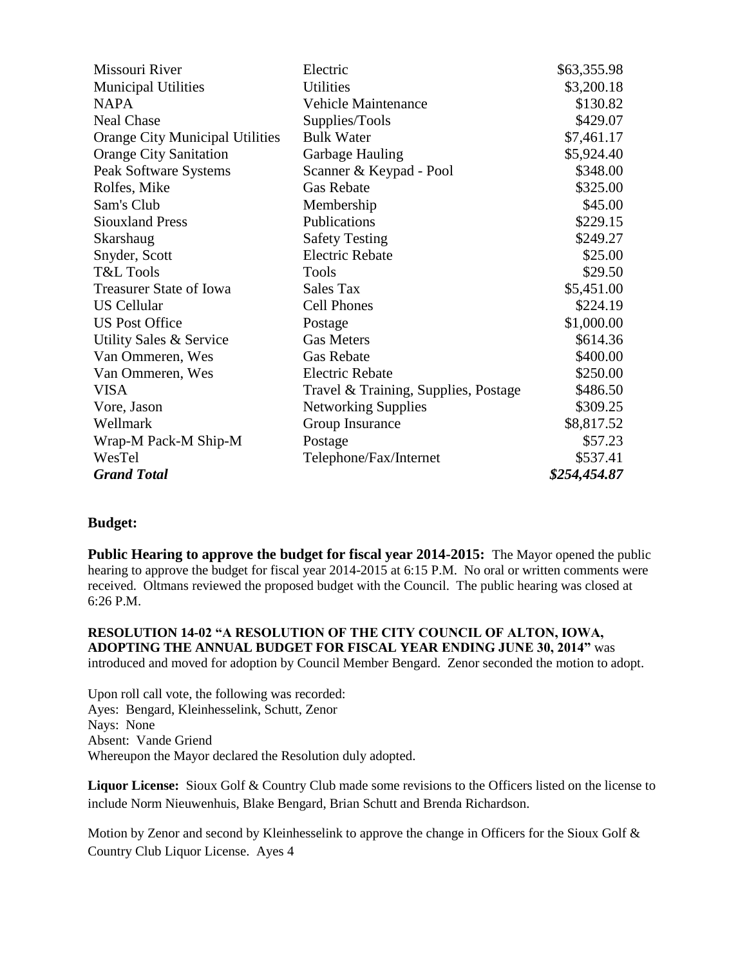| Missouri River                         | Electric                             | \$63,355.98            |
|----------------------------------------|--------------------------------------|------------------------|
| <b>Municipal Utilities</b>             | <b>Utilities</b>                     | \$3,200.18             |
| NAPA                                   | <b>Vehicle Maintenance</b>           | \$130.82               |
| <b>Neal Chase</b>                      | Supplies/Tools                       | \$429.07               |
| <b>Orange City Municipal Utilities</b> | <b>Bulk Water</b>                    | \$7,461.17             |
| <b>Orange City Sanitation</b>          | Garbage Hauling                      | \$5,924.40             |
| Peak Software Systems                  | Scanner & Keypad - Pool              | \$348.00               |
| Rolfes, Mike                           | <b>Gas Rebate</b>                    | \$325.00               |
| Sam's Club                             | Membership                           | \$45.00                |
| <b>Siouxland Press</b>                 | Publications                         | \$229.15               |
| Skarshaug                              | <b>Safety Testing</b>                | \$249.27               |
| Snyder, Scott                          | <b>Electric Rebate</b>               | \$25.00                |
| T&L Tools                              | <b>Tools</b>                         | \$29.50                |
| <b>Treasurer State of Iowa</b>         | <b>Sales Tax</b>                     | \$5,451.00             |
| <b>US Cellular</b>                     | <b>Cell Phones</b>                   | \$224.19<br>\$1,000.00 |
| <b>US Post Office</b>                  | Postage                              |                        |
| Utility Sales & Service                | <b>Gas Meters</b>                    | \$614.36               |
| Van Ommeren, Wes                       | <b>Gas Rebate</b>                    | \$400.00               |
| Van Ommeren, Wes                       | <b>Electric Rebate</b>               | \$250.00               |
| VISA                                   | Travel & Training, Supplies, Postage | \$486.50               |
| Vore, Jason                            | <b>Networking Supplies</b>           | \$309.25               |
| Wellmark                               | Group Insurance                      | \$8,817.52             |
| Wrap-M Pack-M Ship-M                   | Postage                              | \$57.23                |
| WesTel                                 | Telephone/Fax/Internet               | \$537.41               |
| <b>Grand Total</b>                     |                                      | \$254,454.87           |

### **Budget:**

**Public Hearing to approve the budget for fiscal year 2014-2015:** The Mayor opened the public hearing to approve the budget for fiscal year 2014-2015 at 6:15 P.M. No oral or written comments were received. Oltmans reviewed the proposed budget with the Council. The public hearing was closed at 6:26 P.M.

**RESOLUTION 14-02 "A RESOLUTION OF THE CITY COUNCIL OF ALTON, IOWA, ADOPTING THE ANNUAL BUDGET FOR FISCAL YEAR ENDING JUNE 30, 2014"** was introduced and moved for adoption by Council Member Bengard. Zenor seconded the motion to adopt.

Upon roll call vote, the following was recorded: Ayes: Bengard, Kleinhesselink, Schutt, Zenor Nays: None Absent: Vande Griend Whereupon the Mayor declared the Resolution duly adopted.

**Liquor License:** Sioux Golf & Country Club made some revisions to the Officers listed on the license to include Norm Nieuwenhuis, Blake Bengard, Brian Schutt and Brenda Richardson.

Motion by Zenor and second by Kleinhesselink to approve the change in Officers for the Sioux Golf & Country Club Liquor License. Ayes 4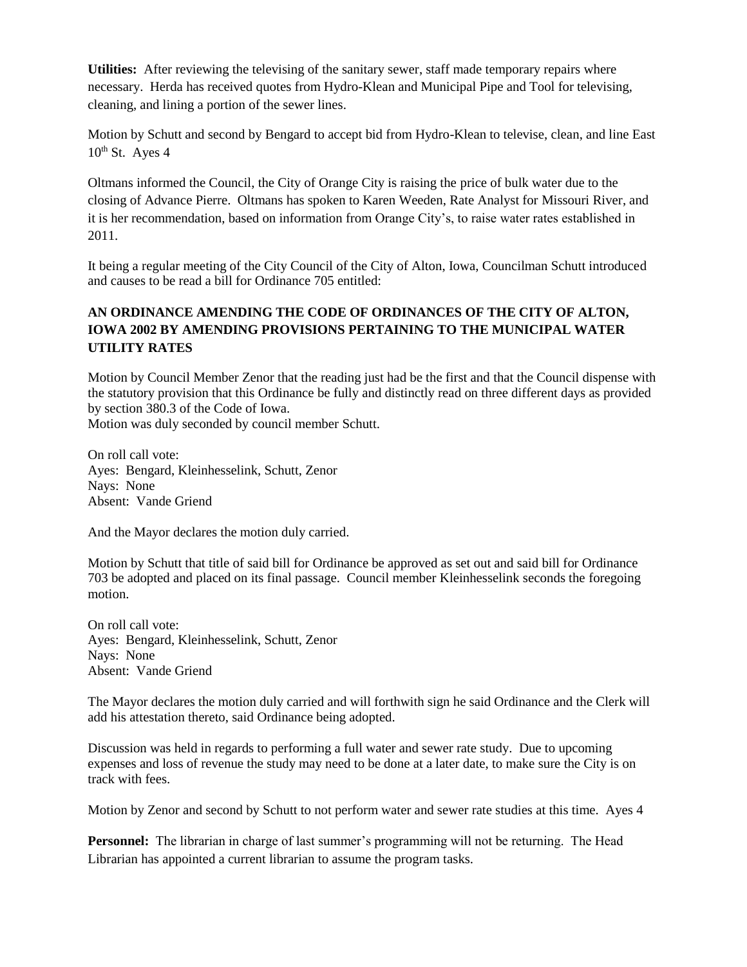**Utilities:** After reviewing the televising of the sanitary sewer, staff made temporary repairs where necessary. Herda has received quotes from Hydro-Klean and Municipal Pipe and Tool for televising, cleaning, and lining a portion of the sewer lines.

Motion by Schutt and second by Bengard to accept bid from Hydro-Klean to televise, clean, and line East  $10^{th}$  St. Ayes 4

Oltmans informed the Council, the City of Orange City is raising the price of bulk water due to the closing of Advance Pierre. Oltmans has spoken to Karen Weeden, Rate Analyst for Missouri River, and it is her recommendation, based on information from Orange City's, to raise water rates established in 2011.

It being a regular meeting of the City Council of the City of Alton, Iowa, Councilman Schutt introduced and causes to be read a bill for Ordinance 705 entitled:

# **AN ORDINANCE AMENDING THE CODE OF ORDINANCES OF THE CITY OF ALTON, IOWA 2002 BY AMENDING PROVISIONS PERTAINING TO THE MUNICIPAL WATER UTILITY RATES**

Motion by Council Member Zenor that the reading just had be the first and that the Council dispense with the statutory provision that this Ordinance be fully and distinctly read on three different days as provided by section 380.3 of the Code of Iowa.

Motion was duly seconded by council member Schutt.

On roll call vote: Ayes: Bengard, Kleinhesselink, Schutt, Zenor Nays: None Absent: Vande Griend

And the Mayor declares the motion duly carried.

Motion by Schutt that title of said bill for Ordinance be approved as set out and said bill for Ordinance 703 be adopted and placed on its final passage. Council member Kleinhesselink seconds the foregoing motion.

On roll call vote: Ayes: Bengard, Kleinhesselink, Schutt, Zenor Nays: None Absent: Vande Griend

The Mayor declares the motion duly carried and will forthwith sign he said Ordinance and the Clerk will add his attestation thereto, said Ordinance being adopted.

Discussion was held in regards to performing a full water and sewer rate study. Due to upcoming expenses and loss of revenue the study may need to be done at a later date, to make sure the City is on track with fees.

Motion by Zenor and second by Schutt to not perform water and sewer rate studies at this time. Ayes 4

**Personnel:** The librarian in charge of last summer's programming will not be returning. The Head Librarian has appointed a current librarian to assume the program tasks.